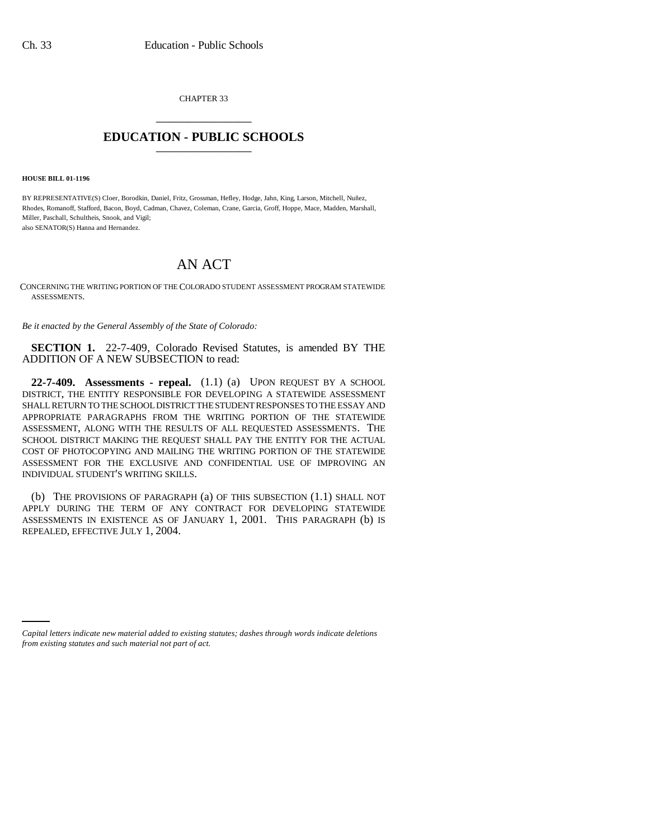CHAPTER 33 \_\_\_\_\_\_\_\_\_\_\_\_\_\_\_

## **EDUCATION - PUBLIC SCHOOLS** \_\_\_\_\_\_\_\_\_\_\_\_\_\_\_

**HOUSE BILL 01-1196**

BY REPRESENTATIVE(S) Cloer, Borodkin, Daniel, Fritz, Grossman, Hefley, Hodge, Jahn, King, Larson, Mitchell, Nuñez, Rhodes, Romanoff, Stafford, Bacon, Boyd, Cadman, Chavez, Coleman, Crane, Garcia, Groff, Hoppe, Mace, Madden, Marshall, Miller, Paschall, Schultheis, Snook, and Vigil; also SENATOR(S) Hanna and Hernandez.

## AN ACT

CONCERNING THE WRITING PORTION OF THE COLORADO STUDENT ASSESSMENT PROGRAM STATEWIDE ASSESSMENTS.

*Be it enacted by the General Assembly of the State of Colorado:*

**SECTION 1.** 22-7-409, Colorado Revised Statutes, is amended BY THE ADDITION OF A NEW SUBSECTION to read:

**22-7-409. Assessments - repeal.** (1.1) (a) UPON REQUEST BY A SCHOOL DISTRICT, THE ENTITY RESPONSIBLE FOR DEVELOPING A STATEWIDE ASSESSMENT SHALL RETURN TO THE SCHOOL DISTRICT THE STUDENT RESPONSES TO THE ESSAY AND APPROPRIATE PARAGRAPHS FROM THE WRITING PORTION OF THE STATEWIDE ASSESSMENT, ALONG WITH THE RESULTS OF ALL REQUESTED ASSESSMENTS. THE SCHOOL DISTRICT MAKING THE REQUEST SHALL PAY THE ENTITY FOR THE ACTUAL COST OF PHOTOCOPYING AND MAILING THE WRITING PORTION OF THE STATEWIDE ASSESSMENT FOR THE EXCLUSIVE AND CONFIDENTIAL USE OF IMPROVING AN INDIVIDUAL STUDENT'S WRITING SKILLS.

(b) THE PROVISIONS OF PARAGRAPH (a) OF THIS SUBSECTION (1.1) SHALL NOT APPLY DURING THE TERM OF ANY CONTRACT FOR DEVELOPING STATEWIDE ASSESSMENTS IN EXISTENCE AS OF JANUARY 1, 2001. THIS PARAGRAPH (b) IS REPEALED, EFFECTIVE JULY 1, 2004.

*Capital letters indicate new material added to existing statutes; dashes through words indicate deletions from existing statutes and such material not part of act.*